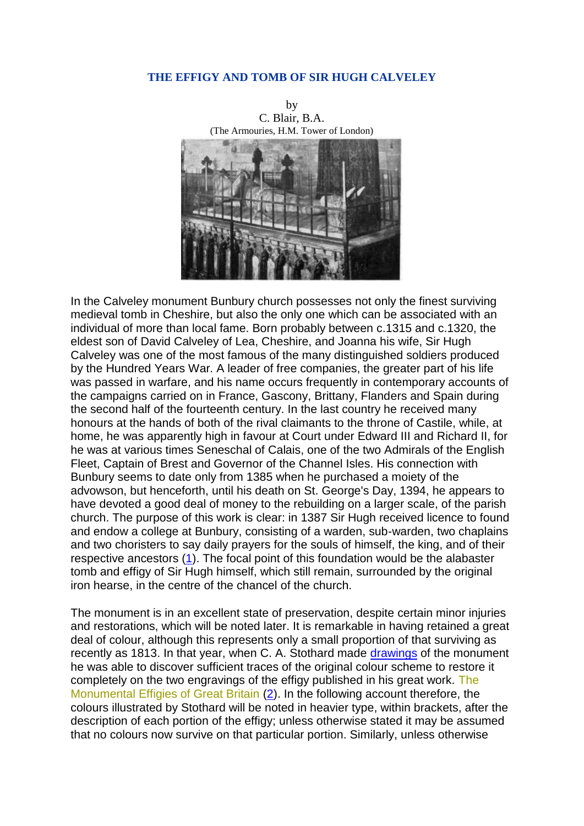## **THE EFFIGY AND TOMB OF SIR HUGH CALVELEY**



In the Calveley monument Bunbury church possesses not only the finest surviving medieval tomb in Cheshire, but also the only one which can be associated with an individual of more than local fame. Born probably between c.1315 and c.1320, the eldest son of David Calveley of Lea, Cheshire, and Joanna his wife, Sir Hugh Calveley was one of the most famous of the many distinguished soldiers produced by the Hundred Years War. A leader of free companies, the greater part of his life was passed in warfare, and his name occurs frequently in contemporary accounts of the campaigns carried on in France, Gascony, Brittany, Flanders and Spain during the second half of the fourteenth century. In the last country he received many honours at the hands of both of the rival claimants to the throne of Castile, while, at home, he was apparently high in favour at Court under Edward III and Richard II, for he was at various times Seneschal of Calais, one of the two Admirals of the English Fleet, Captain of Brest and Governor of the Channel Isles. His connection with Bunbury seems to date only from 1385 when he purchased a moiety of the advowson, but henceforth, until his death on St. George's Day, 1394, he appears to have devoted a good deal of money to the rebuilding on a larger scale, of the parish church. The purpose of this work is clear: in 1387 Sir Hugh received licence to found and endow a college at Bunbury, consisting of a warden, sub-warden, two chaplains and two choristers to say daily prayers for the souls of himself, the king, and of their respective ancestors [\(1\)](file:///C:/Users/matt/OneDrive/Documents/gemma/st%20boniface/Bunbury/papers/Sir_Hugh_paper.htm%23anchor61448). The focal point of this foundation would be the alabaster tomb and effigy of Sir Hugh himself, which still remain, surrounded by the original iron hearse, in the centre of the chancel of the church.

The monument is in an excellent state of preservation, despite certain minor injuries and restorations, which will be noted later. It is remarkable in having retained a great deal of colour, although this represents only a small proportion of that surviving as recently as 1813. In that year, when C. A. Stothard made [drawings](file:///C:/Users/matt/OneDrive/Documents/gemma/st%20boniface/Bunbury/papers/Sir_Hugh_paper.htm%23anchor6366) of the monument he was able to discover sufficient traces of the original colour scheme to restore it completely on the two engravings of the effigy published in his great work. The Monumental Effigies of Great Britain [\(2\)](file:///C:/Users/matt/OneDrive/Documents/gemma/st%20boniface/Bunbury/papers/Sir_Hugh_paper.htm%23anchor63992). In the following account therefore, the colours illustrated by Stothard will be noted in heavier type, within brackets, after the description of each portion of the effigy; unless otherwise stated it may be assumed that no colours now survive on that particular portion. Similarly, unless otherwise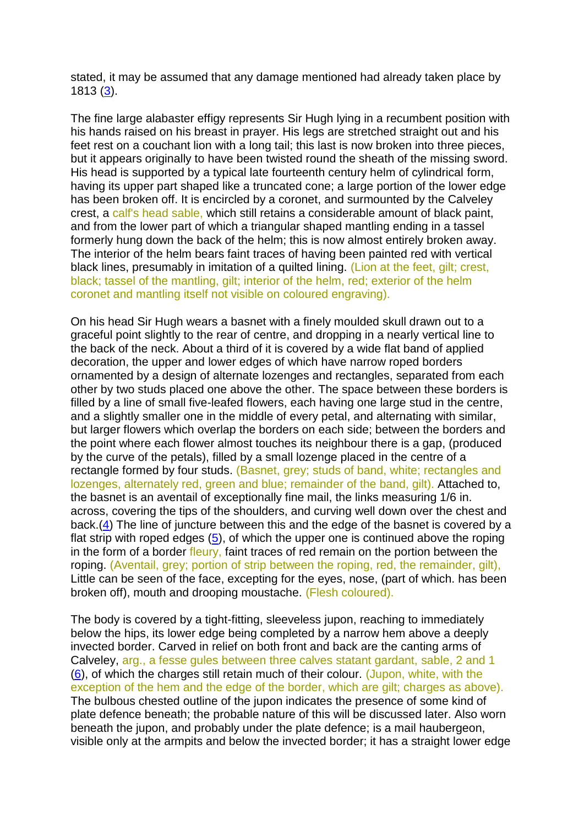stated, it may be assumed that any damage mentioned had already taken place by 1813 [\(3\)](file:///C:/Users/matt/OneDrive/Documents/gemma/st%20boniface/Bunbury/papers/Sir_Hugh_paper.htm%23anchor65933).

The fine large alabaster effigy represents Sir Hugh lying in a recumbent position with his hands raised on his breast in prayer. His legs are stretched straight out and his feet rest on a couchant lion with a long tail; this last is now broken into three pieces, but it appears originally to have been twisted round the sheath of the missing sword. His head is supported by a typical late fourteenth century helm of cylindrical form, having its upper part shaped like a truncated cone; a large portion of the lower edge has been broken off. It is encircled by a coronet, and surmounted by the Calveley crest, a calf's head sable, which still retains a considerable amount of black paint, and from the lower part of which a triangular shaped mantling ending in a tassel formerly hung down the back of the helm; this is now almost entirely broken away. The interior of the helm bears faint traces of having been painted red with vertical black lines, presumably in imitation of a quilted lining. (Lion at the feet, gilt; crest, black; tassel of the mantling, gilt; interior of the helm, red; exterior of the helm coronet and mantling itself not visible on coloured engraving).

On his head Sir Hugh wears a basnet with a finely moulded skull drawn out to a graceful point slightly to the rear of centre, and dropping in a nearly vertical line to the back of the neck. About a third of it is covered by a wide flat band of applied decoration, the upper and lower edges of which have narrow roped borders ornamented by a design of alternate lozenges and rectangles, separated from each other by two studs placed one above the other. The space between these borders is filled by a line of small five-leafed flowers, each having one large stud in the centre, and a slightly smaller one in the middle of every petal, and alternating with similar, but larger flowers which overlap the borders on each side; between the borders and the point where each flower almost touches its neighbour there is a gap, (produced by the curve of the petals), filled by a small lozenge placed in the centre of a rectangle formed by four studs. (Basnet, grey; studs of band, white; rectangles and lozenges, alternately red, green and blue; remainder of the band, gilt). Attached to, the basnet is an aventail of exceptionally fine mail, the links measuring 1/6 in. across, covering the tips of the shoulders, and curving well down over the chest and back.[\(4\)](file:///C:/Users/matt/OneDrive/Documents/gemma/st%20boniface/Bunbury/papers/Sir_Hugh_paper.htm%23anchor81221) The line of juncture between this and the edge of the basnet is covered by a flat strip with roped edges [\(5\)](file:///C:/Users/matt/OneDrive/Documents/gemma/st%20boniface/Bunbury/papers/Sir_Hugh_paper.htm%23anchor76011), of which the upper one is continued above the roping in the form of a border fleury, faint traces of red remain on the portion between the roping. (Aventail, grey; portion of strip between the roping, red, the remainder, gilt), Little can be seen of the face, excepting for the eyes, nose, (part of which. has been broken off), mouth and drooping moustache. (Flesh coloured).

The body is covered by a tight-fitting, sleeveless jupon, reaching to immediately below the hips, its lower edge being completed by a narrow hem above a deeply invected border. Carved in relief on both front and back are the canting arms of Calveley, arg., a fesse gules between three calves statant gardant, sable, 2 and 1 [\(6\)](file:///C:/Users/matt/OneDrive/Documents/gemma/st%20boniface/Bunbury/papers/Sir_Hugh_paper.htm%23anchor82872), of which the charges still retain much of their colour. (Jupon, white, with the exception of the hem and the edge of the border, which are gilt; charges as above). The bulbous chested outline of the jupon indicates the presence of some kind of plate defence beneath; the probable nature of this will be discussed later. Also worn beneath the jupon, and probably under the plate defence; is a mail haubergeon, visible only at the armpits and below the invected border; it has a straight lower edge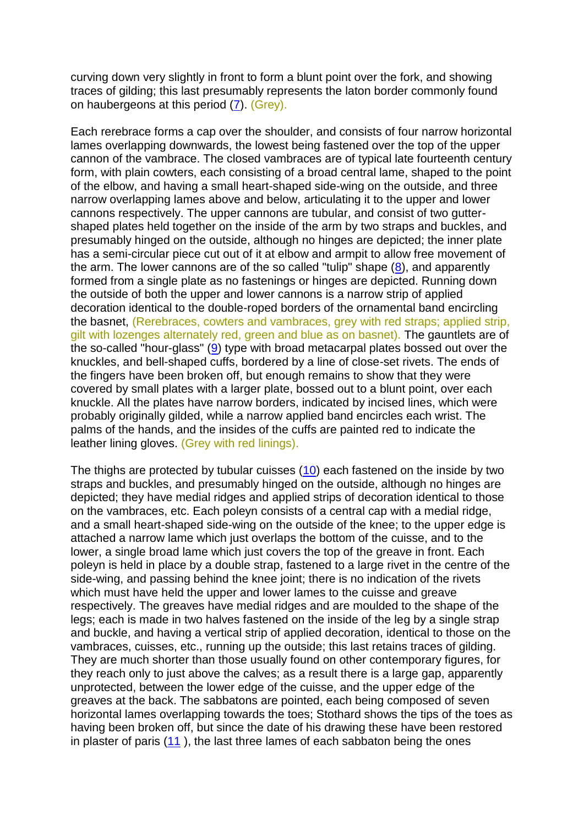curving down very slightly in front to form a blunt point over the fork, and showing traces of gilding; this last presumably represents the laton border commonly found on haubergeons at this period [\(7\)](file:///C:/Users/matt/OneDrive/Documents/gemma/st%20boniface/Bunbury/papers/Sir_Hugh_paper.htm%23anchor84820). (Grey).

Each rerebrace forms a cap over the shoulder, and consists of four narrow horizontal lames overlapping downwards, the lowest being fastened over the top of the upper cannon of the vambrace. The closed vambraces are of typical late fourteenth century form, with plain cowters, each consisting of a broad central lame, shaped to the point of the elbow, and having a small heart-shaped side-wing on the outside, and three narrow overlapping lames above and below, articulating it to the upper and lower cannons respectively. The upper cannons are tubular, and consist of two guttershaped plates held together on the inside of the arm by two straps and buckles, and presumably hinged on the outside, although no hinges are depicted; the inner plate has a semi-circular piece cut out of it at elbow and armpit to allow free movement of the arm. The lower cannons are of the so called "tulip" shape [\(8\)](file:///C:/Users/matt/OneDrive/Documents/gemma/st%20boniface/Bunbury/papers/Sir_Hugh_paper.htm%23anchor86527), and apparently formed from a single plate as no fastenings or hinges are depicted. Running down the outside of both the upper and lower cannons is a narrow strip of applied decoration identical to the double-roped borders of the ornamental band encircling the basnet, (Rerebraces, cowters and vambraces, grey with red straps; applied strip, gilt with lozenges alternately red, green and blue as on basnet). The gauntlets are of the so-called "hour-glass" [\(9\)](file:///C:/Users/matt/OneDrive/Documents/gemma/st%20boniface/Bunbury/papers/Sir_Hugh_paper.htm%23anchor88629) type with broad metacarpal plates bossed out over the knuckles, and bell-shaped cuffs, bordered by a line of close-set rivets. The ends of the fingers have been broken off, but enough remains to show that they were covered by small plates with a larger plate, bossed out to a blunt point, over each knuckle. All the plates have narrow borders, indicated by incised lines, which were probably originally gilded, while a narrow applied band encircles each wrist. The palms of the hands, and the insides of the cuffs are painted red to indicate the leather lining gloves. (Grey with red linings).

The thighs are protected by tubular cuisses [\(10\)](file:///C:/Users/matt/OneDrive/Documents/gemma/st%20boniface/Bunbury/papers/Sir_Hugh_paper.htm%23anchor90386) each fastened on the inside by two straps and buckles, and presumably hinged on the outside, although no hinges are depicted; they have medial ridges and applied strips of decoration identical to those on the vambraces, etc. Each poleyn consists of a central cap with a medial ridge, and a small heart-shaped side-wing on the outside of the knee; to the upper edge is attached a narrow lame which just overlaps the bottom of the cuisse, and to the lower, a single broad lame which just covers the top of the greave in front. Each poleyn is held in place by a double strap, fastened to a large rivet in the centre of the side-wing, and passing behind the knee joint; there is no indication of the rivets which must have held the upper and lower lames to the cuisse and greave respectively. The greaves have medial ridges and are moulded to the shape of the legs; each is made in two halves fastened on the inside of the leg by a single strap and buckle, and having a vertical strip of applied decoration, identical to those on the vambraces, cuisses, etc., running up the outside; this last retains traces of gilding. They are much shorter than those usually found on other contemporary figures, for they reach only to just above the calves; as a result there is a large gap, apparently unprotected, between the lower edge of the cuisse, and the upper edge of the greaves at the back. The sabbatons are pointed, each being composed of seven horizontal lames overlapping towards the toes; Stothard shows the tips of the toes as having been broken off, but since the date of his drawing these have been restored in plaster of paris [\(11](file:///C:/Users/matt/OneDrive/Documents/gemma/st%20boniface/Bunbury/papers/Sir_Hugh_paper.htm%23anchor7177) ), the last three lames of each sabbaton being the ones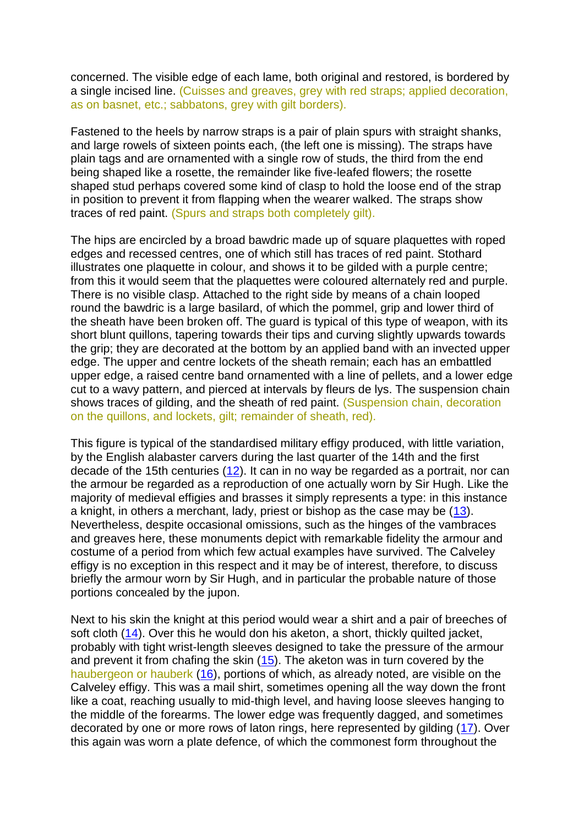concerned. The visible edge of each lame, both original and restored, is bordered by a single incised line. (Cuisses and greaves, grey with red straps; applied decoration, as on basnet, etc.; sabbatons, grey with gilt borders).

Fastened to the heels by narrow straps is a pair of plain spurs with straight shanks, and large rowels of sixteen points each, (the left one is missing). The straps have plain tags and are ornamented with a single row of studs, the third from the end being shaped like a rosette, the remainder like five-leafed flowers; the rosette shaped stud perhaps covered some kind of clasp to hold the loose end of the strap in position to prevent it from flapping when the wearer walked. The straps show traces of red paint. (Spurs and straps both completely gilt).

The hips are encircled by a broad bawdric made up of square plaquettes with roped edges and recessed centres, one of which still has traces of red paint. Stothard illustrates one plaquette in colour, and shows it to be gilded with a purple centre; from this it would seem that the plaquettes were coloured alternately red and purple. There is no visible clasp. Attached to the right side by means of a chain looped round the bawdric is a large basilard, of which the pommel, grip and lower third of the sheath have been broken off. The guard is typical of this type of weapon, with its short blunt quillons, tapering towards their tips and curving slightly upwards towards the grip; they are decorated at the bottom by an applied band with an invected upper edge. The upper and centre lockets of the sheath remain; each has an embattled upper edge, a raised centre band ornamented with a line of pellets, and a lower edge cut to a wavy pattern, and pierced at intervals by fleurs de lys. The suspension chain shows traces of gilding, and the sheath of red paint. (Suspension chain, decoration on the quillons, and lockets, gilt; remainder of sheath, red).

This figure is typical of the standardised military effigy produced, with little variation, by the English alabaster carvers during the last quarter of the 14th and the first decade of the 15th centuries [\(12\)](file:///C:/Users/matt/OneDrive/Documents/gemma/st%20boniface/Bunbury/papers/Sir_Hugh_paper.htm%23anchor11043). It can in no way be regarded as a portrait, nor can the armour be regarded as a reproduction of one actually worn by Sir Hugh. Like the majority of medieval effigies and brasses it simply represents a type: in this instance a knight, in others a merchant, lady, priest or bishop as the case may be [\(13\)](file:///C:/Users/matt/OneDrive/Documents/gemma/st%20boniface/Bunbury/papers/Sir_Hugh_paper.htm%23anchor13405). Nevertheless, despite occasional omissions, such as the hinges of the vambraces and greaves here, these monuments depict with remarkable fidelity the armour and costume of a period from which few actual examples have survived. The Calveley effigy is no exception in this respect and it may be of interest, therefore, to discuss briefly the armour worn by Sir Hugh, and in particular the probable nature of those portions concealed by the jupon.

Next to his skin the knight at this period would wear a shirt and a pair of breeches of soft cloth [\(14\)](file:///C:/Users/matt/OneDrive/Documents/gemma/st%20boniface/Bunbury/papers/Sir_Hugh_paper.htm%23anchor15445). Over this he would don his aketon, a short, thickly quilted jacket, probably with tight wrist-length sleeves designed to take the pressure of the armour and prevent it from chafing the skin [\(15\)](file:///C:/Users/matt/OneDrive/Documents/gemma/st%20boniface/Bunbury/papers/Sir_Hugh_paper.htm%23anchor17485). The aketon was in turn covered by the haubergeon or hauberk [\(16\)](file:///C:/Users/matt/OneDrive/Documents/gemma/st%20boniface/Bunbury/papers/Sir_Hugh_paper.htm%23anchor20359), portions of which, as already noted, are visible on the Calveley effigy. This was a mail shirt, sometimes opening all the way down the front like a coat, reaching usually to mid-thigh level, and having loose sleeves hanging to the middle of the forearms. The lower edge was frequently dagged, and sometimes decorated by one or more rows of laton rings, here represented by gilding [\(17\)](file:///C:/Users/matt/OneDrive/Documents/gemma/st%20boniface/Bunbury/papers/Sir_Hugh_paper.htm%23anchor22590). Over this again was worn a plate defence, of which the commonest form throughout the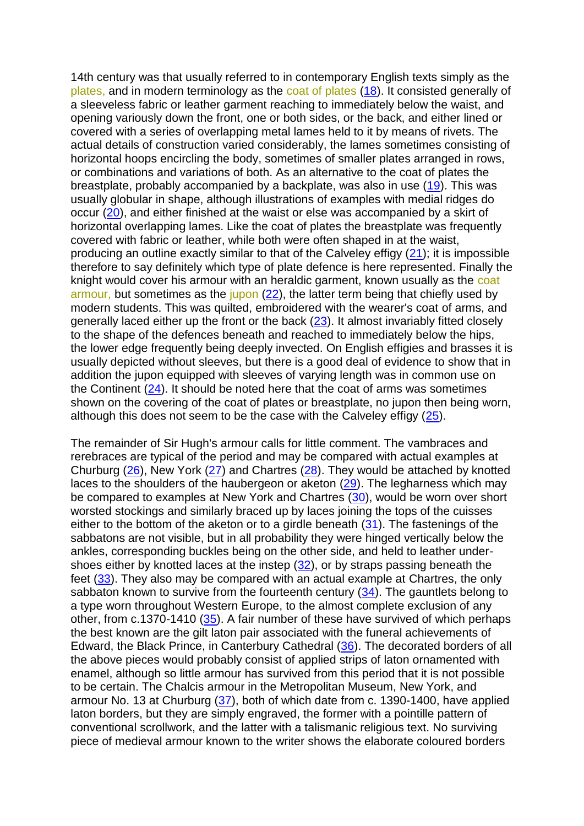14th century was that usually referred to in contemporary English texts simply as the plates, and in modern terminology as the coat of plates [\(18\)](file:///C:/Users/matt/OneDrive/Documents/gemma/st%20boniface/Bunbury/papers/Sir_Hugh_paper.htm%23anchor24436). It consisted generally of a sleeveless fabric or leather garment reaching to immediately below the waist, and opening variously down the front, one or both sides, or the back, and either lined or covered with a series of overlapping metal lames held to it by means of rivets. The actual details of construction varied considerably, the lames sometimes consisting of horizontal hoops encircling the body, sometimes of smaller plates arranged in rows, or combinations and variations of both. As an alternative to the coat of plates the breastplate, probably accompanied by a backplate, was also in use [\(19\)](file:///C:/Users/matt/OneDrive/Documents/gemma/st%20boniface/Bunbury/papers/Sir_Hugh_paper.htm%23anchor26400). This was usually globular in shape, although illustrations of examples with medial ridges do occur [\(20\)](file:///C:/Users/matt/OneDrive/Documents/gemma/st%20boniface/Bunbury/papers/Sir_Hugh_paper.htm%23anchor29205), and either finished at the waist or else was accompanied by a skirt of horizontal overlapping lames. Like the coat of plates the breastplate was frequently covered with fabric or leather, while both were often shaped in at the waist, producing an outline exactly similar to that of the Calveley effigy [\(21\)](file:///C:/Users/matt/OneDrive/Documents/gemma/st%20boniface/Bunbury/papers/Sir_Hugh_paper.htm%23anchor31192); it is impossible therefore to say definitely which type of plate defence is here represented. Finally the knight would cover his armour with an heraldic garment, known usually as the coat armour, but sometimes as the jupon [\(22\)](file:///C:/Users/matt/OneDrive/Documents/gemma/st%20boniface/Bunbury/papers/Sir_Hugh_paper.htm%23anchor33574), the latter term being that chiefly used by modern students. This was quilted, embroidered with the wearer's coat of arms, and generally laced either up the front or the back [\(23\)](file:///C:/Users/matt/OneDrive/Documents/gemma/st%20boniface/Bunbury/papers/Sir_Hugh_paper.htm%23anchor36174). It almost invariably fitted closely to the shape of the defences beneath and reached to immediately below the hips, the lower edge frequently being deeply invected. On English effigies and brasses it is usually depicted without sleeves, but there is a good deal of evidence to show that in addition the jupon equipped with sleeves of varying length was in common use on the Continent  $(24)$ . It should be noted here that the coat of arms was sometimes shown on the covering of the coat of plates or breastplate, no jupon then being worn, although this does not seem to be the case with the Calveley effigy [\(25\)](file:///C:/Users/matt/OneDrive/Documents/gemma/st%20boniface/Bunbury/papers/Sir_Hugh_paper.htm%23anchor40311).

The remainder of Sir Hugh's armour calls for little comment. The vambraces and rerebraces are typical of the period and may be compared with actual examples at Churburg [\(26\)](file:///C:/Users/matt/OneDrive/Documents/gemma/st%20boniface/Bunbury/papers/Sir_Hugh_paper.htm%23anchor43148), New York [\(27\)](file:///C:/Users/matt/OneDrive/Documents/gemma/st%20boniface/Bunbury/papers/Sir_Hugh_paper.htm%23anchor43491) and Chartres [\(28\)](file:///C:/Users/matt/OneDrive/Documents/gemma/st%20boniface/Bunbury/papers/Sir_Hugh_paper.htm%23anchor43797). They would be attached by knotted laces to the shoulders of the haubergeon or aketon [\(29\)](file:///C:/Users/matt/OneDrive/Documents/gemma/st%20boniface/Bunbury/papers/Sir_Hugh_paper.htm%23anchor44219). The legharness which may be compared to examples at New York and Chartres [\(30\)](file:///C:/Users/matt/OneDrive/Documents/gemma/st%20boniface/Bunbury/papers/Sir_Hugh_paper.htm%23anchor44654), would be worn over short worsted stockings and similarly braced up by laces joining the tops of the cuisses either to the bottom of the aketon or to a girdle beneath [\(31\)](file:///C:/Users/matt/OneDrive/Documents/gemma/st%20boniface/Bunbury/papers/Sir_Hugh_paper.htm%23anchor79560). The fastenings of the sabbatons are not visible, but in all probability they were hinged vertically below the ankles, corresponding buckles being on the other side, and held to leather undershoes either by knotted laces at the instep [\(32\)](file:///C:/Users/matt/OneDrive/Documents/gemma/st%20boniface/Bunbury/papers/Sir_Hugh_paper.htm%23anchor79946), or by straps passing beneath the feet [\(33\)](file:///C:/Users/matt/OneDrive/Documents/gemma/st%20boniface/Bunbury/papers/Sir_Hugh_paper.htm%23anchor80325). They also may be compared with an actual example at Chartres, the only sabbaton known to survive from the fourteenth century [\(34\)](file:///C:/Users/matt/OneDrive/Documents/gemma/st%20boniface/Bunbury/papers/Sir_Hugh_paper.htm%23anchor80770). The gauntlets belong to a type worn throughout Western Europe, to the almost complete exclusion of any other, from c.1370-1410 [\(35\)](file:///C:/Users/matt/OneDrive/Documents/gemma/st%20boniface/Bunbury/papers/Sir_Hugh_paper.htm%23anchor81132). A fair number of these have survived of which perhaps the best known are the gilt laton pair associated with the funeral achievements of Edward, the Black Prince, in Canterbury Cathedral [\(36\)](file:///C:/Users/matt/OneDrive/Documents/gemma/st%20boniface/Bunbury/papers/Sir_Hugh_paper.htm%23anchor81501). The decorated borders of all the above pieces would probably consist of applied strips of laton ornamented with enamel, although so little armour has survived from this period that it is not possible to be certain. The Chalcis armour in the Metropolitan Museum, New York, and armour No. 13 at Churburg [\(37\)](file:///C:/Users/matt/OneDrive/Documents/gemma/st%20boniface/Bunbury/papers/Sir_Hugh_paper.htm%23anchor82236), both of which date from c. 1390-1400, have applied laton borders, but they are simply engraved, the former with a pointille pattern of conventional scrollwork, and the latter with a talismanic religious text. No surviving piece of medieval armour known to the writer shows the elaborate coloured borders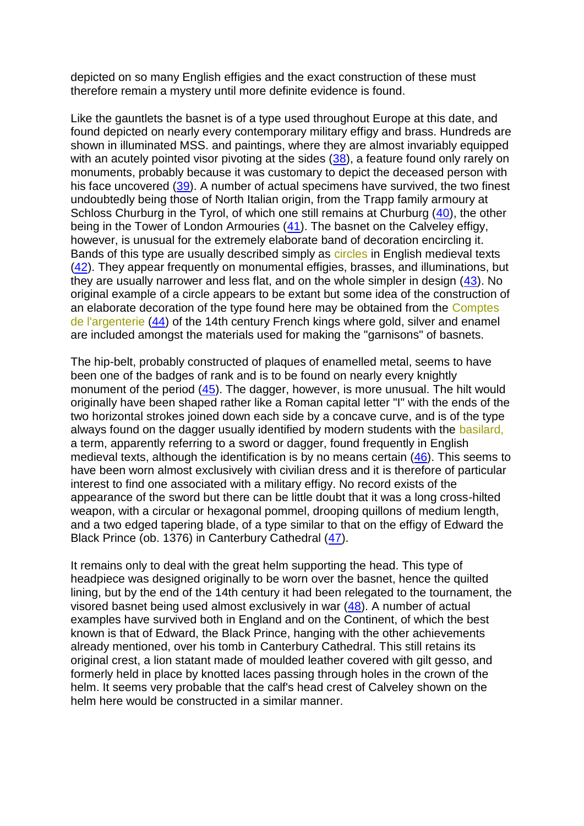depicted on so many English effigies and the exact construction of these must therefore remain a mystery until more definite evidence is found.

Like the gauntlets the basnet is of a type used throughout Europe at this date, and found depicted on nearly every contemporary military effigy and brass. Hundreds are shown in illuminated MSS. and paintings, where they are almost invariably equipped with an acutely pointed visor pivoting at the sides [\(38\)](file:///C:/Users/matt/OneDrive/Documents/gemma/st%20boniface/Bunbury/papers/Sir_Hugh_paper.htm%23anchor96272), a feature found only rarely on monuments, probably because it was customary to depict the deceased person with his face uncovered [\(39\)](file:///C:/Users/matt/OneDrive/Documents/gemma/st%20boniface/Bunbury/papers/Sir_Hugh_paper.htm%23anchor96598). A number of actual specimens have survived, the two finest undoubtedly being those of North Italian origin, from the Trapp family armoury at Schloss Churburg in the Tyrol, of which one still remains at Churburg [\(40\)](file:///C:/Users/matt/OneDrive/Documents/gemma/st%20boniface/Bunbury/papers/Sir_Hugh_paper.htm%23anchor97072), the other being in the Tower of London Armouries [\(41\)](file:///C:/Users/matt/OneDrive/Documents/gemma/st%20boniface/Bunbury/papers/Sir_Hugh_paper.htm%23anchor97485). The basnet on the Calveley effigy, however, is unusual for the extremely elaborate band of decoration encircling it. Bands of this type are usually described simply as circles in English medieval texts [\(42\)](file:///C:/Users/matt/OneDrive/Documents/gemma/st%20boniface/Bunbury/papers/Sir_Hugh_paper.htm%23anchor97969). They appear frequently on monumental effigies, brasses, and illuminations, but they are usually narrower and less flat, and on the whole simpler in design [\(43\)](file:///C:/Users/matt/OneDrive/Documents/gemma/st%20boniface/Bunbury/papers/Sir_Hugh_paper.htm%23anchor98374). No original example of a circle appears to be extant but some idea of the construction of an elaborate decoration of the type found here may be obtained from the Comptes de l'argenterie [\(44\)](file:///C:/Users/matt/OneDrive/Documents/gemma/st%20boniface/Bunbury/papers/Sir_Hugh_paper.htm%23anchor112170) of the 14th century French kings where gold, silver and enamel are included amongst the materials used for making the "garnisons" of basnets.

The hip-belt, probably constructed of plaques of enamelled metal, seems to have been one of the badges of rank and is to be found on nearly every knightly monument of the period [\(45\)](file:///C:/Users/matt/OneDrive/Documents/gemma/st%20boniface/Bunbury/papers/Sir_Hugh_paper.htm%23anchor112528). The dagger, however, is more unusual. The hilt would originally have been shaped rather like a Roman capital letter "I" with the ends of the two horizontal strokes joined down each side by a concave curve, and is of the type always found on the dagger usually identified by modern students with the basilard, a term, apparently referring to a sword or dagger, found frequently in English medieval texts, although the identification is by no means certain [\(46\)](file:///C:/Users/matt/OneDrive/Documents/gemma/st%20boniface/Bunbury/papers/Sir_Hugh_paper.htm%23anchor112911). This seems to have been worn almost exclusively with civilian dress and it is therefore of particular interest to find one associated with a military effigy. No record exists of the appearance of the sword but there can be little doubt that it was a long cross-hilted weapon, with a circular or hexagonal pommel, drooping quillons of medium length, and a two edged tapering blade, of a type similar to that on the effigy of Edward the Black Prince (ob. 1376) in Canterbury Cathedral [\(47\)](file:///C:/Users/matt/OneDrive/Documents/gemma/st%20boniface/Bunbury/papers/Sir_Hugh_paper.htm%23anchor113488).

It remains only to deal with the great helm supporting the head. This type of headpiece was designed originally to be worn over the basnet, hence the quilted lining, but by the end of the 14th century it had been relegated to the tournament, the visored basnet being used almost exclusively in war  $(48)$ . A number of actual examples have survived both in England and on the Continent, of which the best known is that of Edward, the Black Prince, hanging with the other achievements already mentioned, over his tomb in Canterbury Cathedral. This still retains its original crest, a lion statant made of moulded leather covered with gilt gesso, and formerly held in place by knotted laces passing through holes in the crown of the helm. It seems very probable that the calf's head crest of Calveley shown on the helm here would be constructed in a similar manner.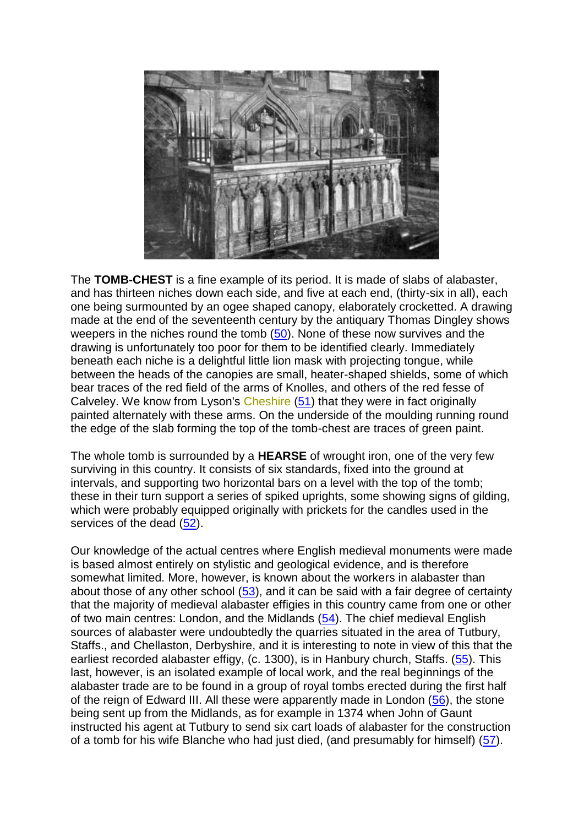

The **TOMB-CHEST** is a fine example of its period. It is made of slabs of alabaster, and has thirteen niches down each side, and five at each end, (thirty-six in all), each one being surmounted by an ogee shaped canopy, elaborately crocketted. A drawing made at the end of the seventeenth century by the antiquary Thomas Dingley shows weepers in the niches round the tomb [\(50\)](file:///C:/Users/matt/OneDrive/Documents/gemma/st%20boniface/Bunbury/papers/Sir_Hugh_paper.htm%23anchor125862). None of these now survives and the drawing is unfortunately too poor for them to be identified clearly. Immediately beneath each niche is a delightful little lion mask with projecting tongue, while between the heads of the canopies are small, heater-shaped shields, some of which bear traces of the red field of the arms of Knolles, and others of the red fesse of Calveley. We know from Lyson's Cheshire [\(51\)](file:///C:/Users/matt/OneDrive/Documents/gemma/st%20boniface/Bunbury/papers/Sir_Hugh_paper.htm%23anchor126383) that they were in fact originally painted alternately with these arms. On the underside of the moulding running round the edge of the slab forming the top of the tomb-chest are traces of green paint.

The whole tomb is surrounded by a **HEARSE** of wrought iron, one of the very few surviving in this country. It consists of six standards, fixed into the ground at intervals, and supporting two horizontal bars on a level with the top of the tomb; these in their turn support a series of spiked uprights, some showing signs of gilding, which were probably equipped originally with prickets for the candles used in the services of the dead [\(52\)](file:///C:/Users/matt/OneDrive/Documents/gemma/st%20boniface/Bunbury/papers/Sir_Hugh_paper.htm%23anchor126663).

Our knowledge of the actual centres where English medieval monuments were made is based almost entirely on stylistic and geological evidence, and is therefore somewhat limited. More, however, is known about the workers in alabaster than about those of any other school [\(53\)](file:///C:/Users/matt/OneDrive/Documents/gemma/st%20boniface/Bunbury/papers/Sir_Hugh_paper.htm%23anchor127068), and it can be said with a fair degree of certainty that the majority of medieval alabaster effigies in this country came from one or other of two main centres: London, and the Midlands [\(54\)](file:///C:/Users/matt/OneDrive/Documents/gemma/st%20boniface/Bunbury/papers/Sir_Hugh_paper.htm%23anchor127672). The chief medieval English sources of alabaster were undoubtedly the quarries situated in the area of Tutbury, Staffs., and Chellaston, Derbyshire, and it is interesting to note in view of this that the earliest recorded alabaster effigy, (c. 1300), is in Hanbury church, Staffs. [\(55\)](file:///C:/Users/matt/OneDrive/Documents/gemma/st%20boniface/Bunbury/papers/Sir_Hugh_paper.htm%23anchor127965). This last, however, is an isolated example of local work, and the real beginnings of the alabaster trade are to be found in a group of royal tombs erected during the first half of the reign of Edward III. All these were apparently made in London [\(56\)](file:///C:/Users/matt/OneDrive/Documents/gemma/st%20boniface/Bunbury/papers/Sir_Hugh_paper.htm%23anchor128245), the stone being sent up from the Midlands, as for example in 1374 when John of Gaunt instructed his agent at Tutbury to send six cart loads of alabaster for the construction of a tomb for his wife Blanche who had just died, (and presumably for himself) [\(57\)](file:///C:/Users/matt/OneDrive/Documents/gemma/st%20boniface/Bunbury/papers/Sir_Hugh_paper.htm%23anchor128575).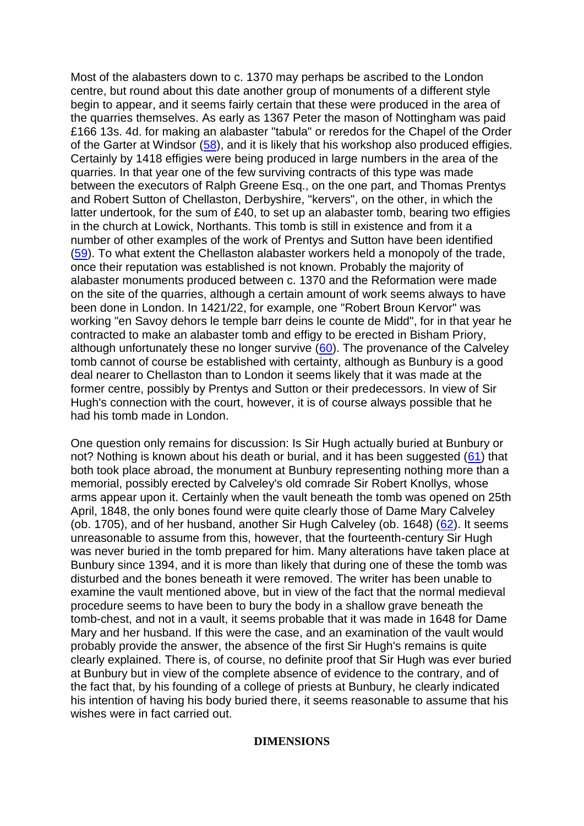Most of the alabasters down to c. 1370 may perhaps be ascribed to the London centre, but round about this date another group of monuments of a different style begin to appear, and it seems fairly certain that these were produced in the area of the quarries themselves. As early as 1367 Peter the mason of Nottingham was paid £166 13s. 4d. for making an alabaster "tabula" or reredos for the Chapel of the Order of the Garter at Windsor [\(58\)](file:///C:/Users/matt/OneDrive/Documents/gemma/st%20boniface/Bunbury/papers/Sir_Hugh_paper.htm%23anchor129006), and it is likely that his workshop also produced effigies. Certainly by 1418 effigies were being produced in large numbers in the area of the quarries. In that year one of the few surviving contracts of this type was made between the executors of Ralph Greene Esq., on the one part, and Thomas Prentys and Robert Sutton of Chellaston, Derbyshire, "kervers", on the other, in which the latter undertook, for the sum of £40, to set up an alabaster tomb, bearing two effigies in the church at Lowick, Northants. This tomb is still in existence and from it a number of other examples of the work of Prentys and Sutton have been identified [\(59\)](file:///C:/Users/matt/OneDrive/Documents/gemma/st%20boniface/Bunbury/papers/Sir_Hugh_paper.htm%23anchor145744). To what extent the Chellaston alabaster workers held a monopoly of the trade, once their reputation was established is not known. Probably the majority of alabaster monuments produced between c. 1370 and the Reformation were made on the site of the quarries, although a certain amount of work seems always to have been done in London. In 1421/22, for example, one "Robert Broun Kervor" was working "en Savoy dehors le temple barr deins le counte de Midd", for in that year he contracted to make an alabaster tomb and effigy to be erected in Bisham Priory, although unfortunately these no longer survive [\(60\)](file:///C:/Users/matt/OneDrive/Documents/gemma/st%20boniface/Bunbury/papers/Sir_Hugh_paper.htm%23anchor146071). The provenance of the Calveley tomb cannot of course be established with certainty, although as Bunbury is a good deal nearer to Chellaston than to London it seems likely that it was made at the former centre, possibly by Prentys and Sutton or their predecessors. In view of Sir Hugh's connection with the court, however, it is of course always possible that he had his tomb made in London.

One question only remains for discussion: Is Sir Hugh actually buried at Bunbury or not? Nothing is known about his death or burial, and it has been suggested  $(61)$  that both took place abroad, the monument at Bunbury representing nothing more than a memorial, possibly erected by Calveley's old comrade Sir Robert Knollys, whose arms appear upon it. Certainly when the vault beneath the tomb was opened on 25th April, 1848, the only bones found were quite clearly those of Dame Mary Calveley (ob. 1705), and of her husband, another Sir Hugh Calveley (ob. 1648) [\(62\)](file:///C:/Users/matt/OneDrive/Documents/gemma/st%20boniface/Bunbury/papers/Sir_Hugh_paper.htm%23anchor147066). It seems unreasonable to assume from this, however, that the fourteenth-century Sir Hugh was never buried in the tomb prepared for him. Many alterations have taken place at Bunbury since 1394, and it is more than likely that during one of these the tomb was disturbed and the bones beneath it were removed. The writer has been unable to examine the vault mentioned above, but in view of the fact that the normal medieval procedure seems to have been to bury the body in a shallow grave beneath the tomb-chest, and not in a vault, it seems probable that it was made in 1648 for Dame Mary and her husband. If this were the case, and an examination of the vault would probably provide the answer, the absence of the first Sir Hugh's remains is quite clearly explained. There is, of course, no definite proof that Sir Hugh was ever buried at Bunbury but in view of the complete absence of evidence to the contrary, and of the fact that, by his founding of a college of priests at Bunbury, he clearly indicated his intention of having his body buried there, it seems reasonable to assume that his wishes were in fact carried out.

## **DIMENSIONS**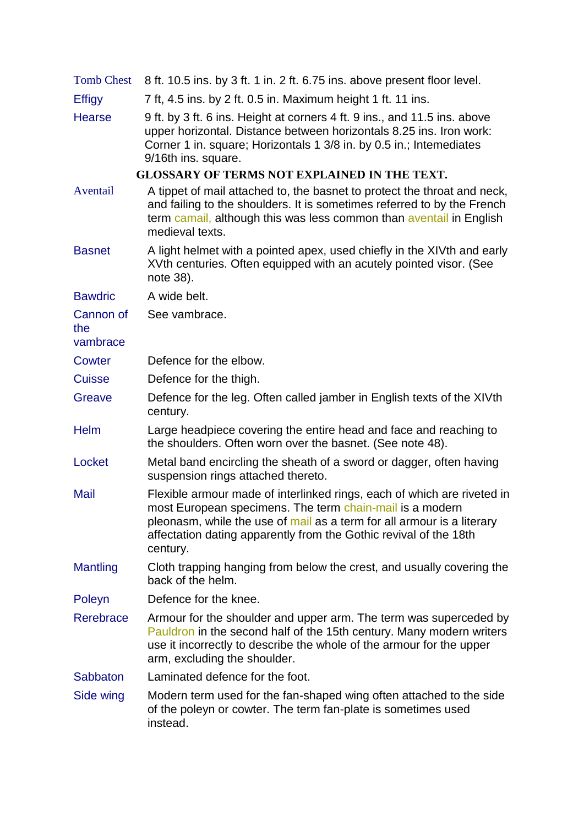| <b>Tomb Chest</b>            | 8 ft. 10.5 ins. by 3 ft. 1 in. 2 ft. 6.75 ins. above present floor level.                                                                                                                                                                                                                      |
|------------------------------|------------------------------------------------------------------------------------------------------------------------------------------------------------------------------------------------------------------------------------------------------------------------------------------------|
| <b>Effigy</b>                | 7 ft, 4.5 ins. by 2 ft. 0.5 in. Maximum height 1 ft. 11 ins.                                                                                                                                                                                                                                   |
| <b>Hearse</b>                | 9 ft. by 3 ft. 6 ins. Height at corners 4 ft. 9 ins., and 11.5 ins. above<br>upper horizontal. Distance between horizontals 8.25 ins. Iron work:<br>Corner 1 in. square; Horizontals 1 3/8 in. by 0.5 in.; Intemediates<br>9/16th ins. square.                                                 |
|                              | <b>GLOSSARY OF TERMS NOT EXPLAINED IN THE TEXT.</b>                                                                                                                                                                                                                                            |
| Aventail                     | A tippet of mail attached to, the basnet to protect the throat and neck,<br>and failing to the shoulders. It is sometimes referred to by the French<br>term camail, although this was less common than aventail in English<br>medieval texts.                                                  |
| <b>Basnet</b>                | A light helmet with a pointed apex, used chiefly in the XIVth and early<br>XVth centuries. Often equipped with an acutely pointed visor. (See<br>note 38).                                                                                                                                     |
| <b>Bawdric</b>               | A wide belt.                                                                                                                                                                                                                                                                                   |
| Cannon of<br>the<br>vambrace | See vambrace.                                                                                                                                                                                                                                                                                  |
| <b>Cowter</b>                | Defence for the elbow.                                                                                                                                                                                                                                                                         |
| <b>Cuisse</b>                | Defence for the thigh.                                                                                                                                                                                                                                                                         |
| Greave                       | Defence for the leg. Often called jamber in English texts of the XIVth<br>century.                                                                                                                                                                                                             |
| <b>Helm</b>                  | Large headpiece covering the entire head and face and reaching to<br>the shoulders. Often worn over the basnet. (See note 48).                                                                                                                                                                 |
| Locket                       | Metal band encircling the sheath of a sword or dagger, often having<br>suspension rings attached thereto.                                                                                                                                                                                      |
| Mail                         | Flexible armour made of interlinked rings, each of which are riveted in<br>most European specimens. The term chain-mail is a modern<br>pleonasm, while the use of mail as a term for all armour is a literary<br>affectation dating apparently from the Gothic revival of the 18th<br>century. |
| Mantling                     | Cloth trapping hanging from below the crest, and usually covering the<br>back of the helm.                                                                                                                                                                                                     |
| Poleyn                       | Defence for the knee.                                                                                                                                                                                                                                                                          |
| Rerebrace                    | Armour for the shoulder and upper arm. The term was superceded by<br>Pauldron in the second half of the 15th century. Many modern writers<br>use it incorrectly to describe the whole of the armour for the upper<br>arm, excluding the shoulder.                                              |
| <b>Sabbaton</b>              | Laminated defence for the foot.                                                                                                                                                                                                                                                                |
| Side wing                    | Modern term used for the fan-shaped wing often attached to the side<br>of the poleyn or cowter. The term fan-plate is sometimes used<br>instead.                                                                                                                                               |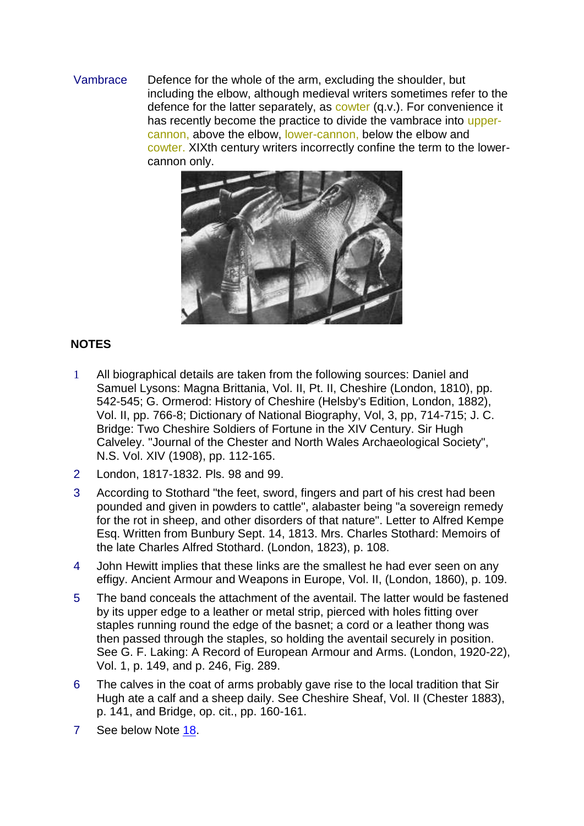## Vambrace Defence for the whole of the arm, excluding the shoulder, but including the elbow, although medieval writers sometimes refer to the defence for the latter separately, as cowter (q.v.). For convenience it has recently become the practice to divide the vambrace into uppercannon, above the elbow, lower-cannon, below the elbow and cowter. XIXth century writers incorrectly confine the term to the lowercannon only.



## **NOTES**

- 1 All biographical details are taken from the following sources: Daniel and Samuel Lysons: Magna Brittania, Vol. II, Pt. II, Cheshire (London, 1810), pp. 542-545; G. Ormerod: History of Cheshire (Helsby's Edition, London, 1882), Vol. II, pp. 766-8; Dictionary of National Biography, Vol, 3, pp, 714-715; J. C. Bridge: Two Cheshire Soldiers of Fortune in the XIV Century. Sir Hugh Calveley. "Journal of the Chester and North Wales Archaeological Society", N.S. Vol. XIV (1908), pp. 112-165.
- 2 London, 1817-1832. Pls. 98 and 99.
- 3 According to Stothard "the feet, sword, fingers and part of his crest had been pounded and given in powders to cattle", alabaster being "a sovereign remedy for the rot in sheep, and other disorders of that nature". Letter to Alfred Kempe Esq. Written from Bunbury Sept. 14, 1813. Mrs. Charles Stothard: Memoirs of the late Charles Alfred Stothard. (London, 1823), p. 108.
- 4 John Hewitt implies that these links are the smallest he had ever seen on any effigy. Ancient Armour and Weapons in Europe, Vol. II, (London, 1860), p. 109.
- 5 The band conceals the attachment of the aventail. The latter would be fastened by its upper edge to a leather or metal strip, pierced with holes fitting over staples running round the edge of the basnet; a cord or a leather thong was then passed through the staples, so holding the aventail securely in position. See G. F. Laking: A Record of European Armour and Arms. (London, 1920-22), Vol. 1, p. 149, and p. 246, Fig. 289.
- 6 The calves in the coat of arms probably gave rise to the local tradition that Sir Hugh ate a calf and a sheep daily. See Cheshire Sheaf, Vol. II (Chester 1883), p. 141, and Bridge, op. cit., pp. 160-161.
- 7 See below Note [18.](file:///C:/Users/matt/OneDrive/Documents/gemma/st%20boniface/Bunbury/papers/Sir_Hugh_paper.htm%23anchor24436)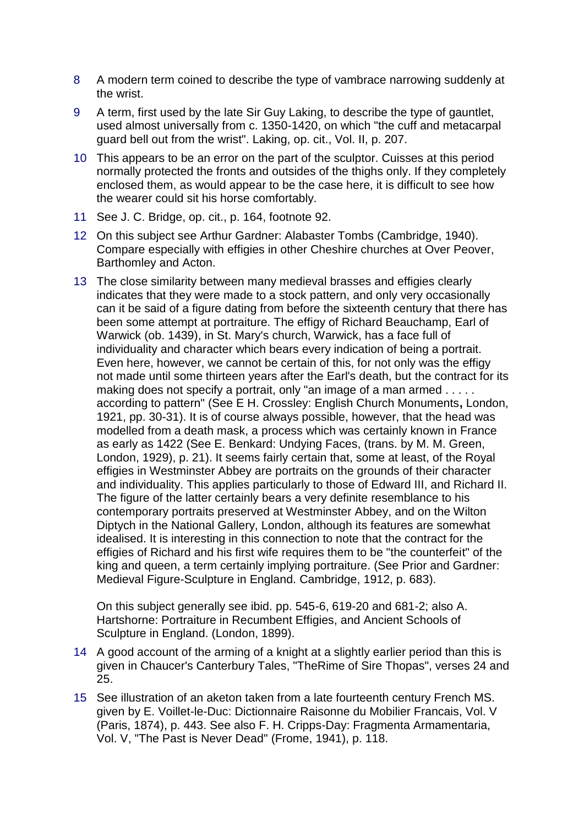- 8 A modern term coined to describe the type of vambrace narrowing suddenly at the wrist.
- 9 A term, first used by the late Sir Guy Laking, to describe the type of gauntlet, used almost universally from c. 1350-1420, on which "the cuff and metacarpal guard bell out from the wrist". Laking, op. cit., Vol. II, p. 207.
- 10 This appears to be an error on the part of the sculptor. Cuisses at this period normally protected the fronts and outsides of the thighs only. If they completely enclosed them, as would appear to be the case here, it is difficult to see how the wearer could sit his horse comfortably.
- 11 See J. C. Bridge, op. cit., p. 164, footnote 92.
- 12 On this subject see Arthur Gardner: Alabaster Tombs (Cambridge, 1940). Compare especially with effigies in other Cheshire churches at Over Peover, Barthomley and Acton.
- 13 The close similarity between many medieval brasses and effigies clearly indicates that they were made to a stock pattern, and only very occasionally can it be said of a figure dating from before the sixteenth century that there has been some attempt at portraiture. The effigy of Richard Beauchamp, Earl of Warwick (ob. 1439), in St. Mary's church, Warwick, has a face full of individuality and character which bears every indication of being a portrait. Even here, however, we cannot be certain of this, for not only was the effigy not made until some thirteen years after the Earl's death, but the contract for its making does not specify a portrait, only "an image of a man armed . . . . . according to pattern" (See E H. Crossley: English Church Monuments**,** London, 1921, pp. 30-31). It is of course always possible, however, that the head was modelled from a death mask, a process which was certainly known in France as early as 1422 (See E. Benkard: Undying Faces, (trans. by M. M. Green, London, 1929), p. 21). It seems fairly certain that, some at least, of the Royal effigies in Westminster Abbey are portraits on the grounds of their character and individuality. This applies particularly to those of Edward III, and Richard II. The figure of the latter certainly bears a very definite resemblance to his contemporary portraits preserved at Westminster Abbey, and on the Wilton Diptych in the National Gallery, London, although its features are somewhat idealised. It is interesting in this connection to note that the contract for the effigies of Richard and his first wife requires them to be "the counterfeit" of the king and queen, a term certainly implying portraiture. (See Prior and Gardner: Medieval Figure-Sculpture in England. Cambridge, 1912, p. 683).

On this subject generally see ibid. pp. 545-6, 619-20 and 681-2; also A. Hartshorne: Portraiture in Recumbent Effigies, and Ancient Schools of Sculpture in England. (London, 1899).

- 14 A good account of the arming of a knight at a slightly earlier period than this is given in Chaucer's Canterbury Tales, "TheRime of Sire Thopas", verses 24 and 25.
- 15 See illustration of an aketon taken from a late fourteenth century French MS. given by E. Voillet-le-Duc: Dictionnaire Raisonne du Mobilier Francais, Vol. V (Paris, 1874), p. 443. See also F. H. Cripps-Day: Fragmenta Armamentaria, Vol. V, "The Past is Never Dead" (Frome, 1941), p. 118.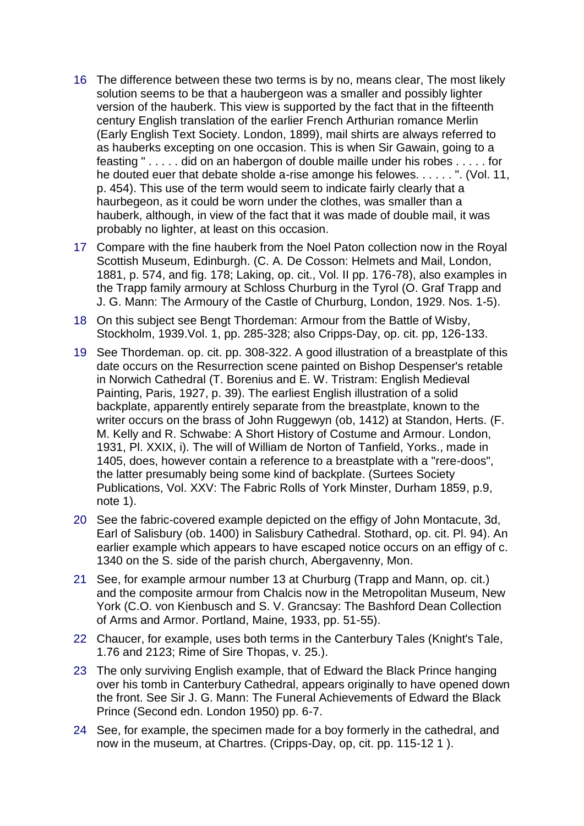- 16 The difference between these two terms is by no, means clear, The most likely solution seems to be that a haubergeon was a smaller and possibly lighter version of the hauberk. This view is supported by the fact that in the fifteenth century English translation of the earlier French Arthurian romance Merlin (Early English Text Society. London, 1899), mail shirts are always referred to as hauberks excepting on one occasion. This is when Sir Gawain, going to a feasting " . . . . . did on an habergon of double maille under his robes . . . . . for he douted euer that debate sholde a-rise amonge his felowes. . . . . . ". (Vol. 11, p. 454). This use of the term would seem to indicate fairly clearly that a haurbegeon, as it could be worn under the clothes, was smaller than a hauberk, although, in view of the fact that it was made of double mail, it was probably no lighter, at least on this occasion.
- 17 Compare with the fine hauberk from the Noel Paton collection now in the Royal Scottish Museum, Edinburgh. (C. A. De Cosson: Helmets and Mail, London, 1881, p. 574, and fig. 178; Laking, op. cit., Vol. II pp. 176-78), also examples in the Trapp family armoury at Schloss Churburg in the Tyrol (O. Graf Trapp and J. G. Mann: The Armoury of the Castle of Churburg, London, 1929. Nos. 1-5).
- 18 On this subject see Bengt Thordeman: Armour from the Battle of Wisby, Stockholm, 1939.Vol. 1, pp. 285-328; also Cripps-Day, op. cit. pp, 126-133.
- 19 See Thordeman. op. cit. pp. 308-322. A good illustration of a breastplate of this date occurs on the Resurrection scene painted on Bishop Despenser's retable in Norwich Cathedral (T. Borenius and E. W. Tristram: English Medieval Painting, Paris, 1927, p. 39). The earliest English illustration of a solid backplate, apparently entirely separate from the breastplate, known to the writer occurs on the brass of John Ruggewyn (ob, 1412) at Standon, Herts. (F. M. Kelly and R. Schwabe: A Short History of Costume and Armour. London, 1931, Pl. XXIX, i). The will of William de Norton of Tanfield, Yorks., made in 1405, does, however contain a reference to a breastplate with a "rere-doos", the latter presumably being some kind of backplate. (Surtees Society Publications, Vol. XXV: The Fabric Rolls of York Minster, Durham 1859, p.9, note 1).
- 20 See the fabric-covered example depicted on the effigy of John Montacute, 3d, Earl of Salisbury (ob. 1400) in Salisbury Cathedral. Stothard, op. cit. Pl. 94). An earlier example which appears to have escaped notice occurs on an effigy of c. 1340 on the S. side of the parish church, Abergavenny, Mon.
- 21 See, for example armour number 13 at Churburg (Trapp and Mann, op. cit.) and the composite armour from Chalcis now in the Metropolitan Museum, New York (C.O. von Kienbusch and S. V. Grancsay: The Bashford Dean Collection of Arms and Armor. Portland, Maine, 1933, pp. 51-55).
- 22 Chaucer, for example, uses both terms in the Canterbury Tales (Knight's Tale, 1.76 and 2123; Rime of Sire Thopas, v. 25.).
- 23 The only surviving English example, that of Edward the Black Prince hanging over his tomb in Canterbury Cathedral, appears originally to have opened down the front. See Sir J. G. Mann: The Funeral Achievements of Edward the Black Prince (Second edn. London 1950) pp. 6-7.
- 24 See, for example, the specimen made for a boy formerly in the cathedral, and now in the museum, at Chartres. (Cripps-Day, op, cit. pp. 115-12 1 ).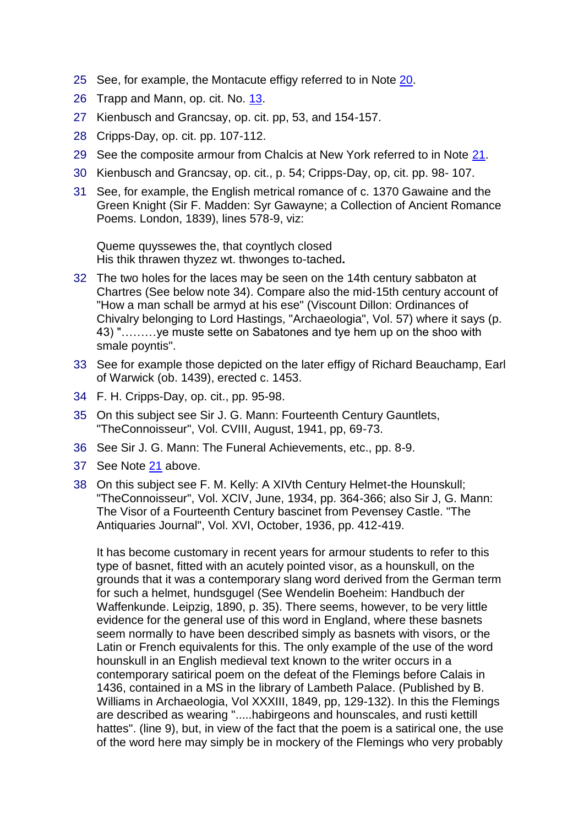- 25 See, for example, the Montacute effigy referred to in Note [20.](file:///C:/Users/matt/OneDrive/Documents/gemma/st%20boniface/Bunbury/papers/Sir_Hugh_paper.htm%23anchor29205)
- 26 Trapp and Mann, op. cit. No. [13.](file:///C:/Users/matt/OneDrive/Documents/gemma/st%20boniface/Bunbury/papers/Sir_Hugh_paper.htm%23anchor13405)
- 27 Kienbusch and Grancsay, op. cit. pp, 53, and 154-157.
- 28 Cripps-Day, op. cit. pp. 107-112.
- 29 See the composite armour from Chalcis at New York referred to in Note [21.](file:///C:/Users/matt/OneDrive/Documents/gemma/st%20boniface/Bunbury/papers/Sir_Hugh_paper.htm%23anchor31192)
- 30 Kienbusch and Grancsay, op. cit., p. 54; Cripps-Day, op, cit. pp. 98- 107.
- 31 See, for example, the English metrical romance of c. 1370 Gawaine and the Green Knight (Sir F. Madden: Syr Gawayne; a Collection of Ancient Romance Poems. London, 1839), lines 578-9, viz:

Queme quyssewes the, that coyntlych closed His thik thrawen thyzez wt. thwonges to-tached**.**

- 32 The two holes for the laces may be seen on the 14th century sabbaton at Chartres (See below note 34). Compare also the mid-15th century account of "How a man schall be armyd at his ese" (Viscount Dillon: Ordinances of Chivalry belonging to Lord Hastings, "Archaeologia", Vol. 57) where it says (p. 43) "………ye muste sette on Sabatones and tye hem up on the shoo with smale poyntis".
- 33 See for example those depicted on the later effigy of Richard Beauchamp, Earl of Warwick (ob. 1439), erected c. 1453.
- 34 F. H. Cripps-Day, op. cit., pp. 95-98.
- 35 On this subject see Sir J. G. Mann: Fourteenth Century Gauntlets, "TheConnoisseur", Vol. CVIII, August, 1941, pp, 69-73.
- 36 See Sir J. G. Mann: The Funeral Achievements, etc., pp. 8-9.
- 37 See Note [21](file:///C:/Users/matt/OneDrive/Documents/gemma/st%20boniface/Bunbury/papers/Sir_Hugh_paper.htm%23anchor31192) above.
- 38 On this subject see F. M. Kelly: A XIVth Century Helmet-the Hounskull; "TheConnoisseur", Vol. XCIV, June, 1934, pp. 364-366; also Sir J, G. Mann: The Visor of a Fourteenth Century bascinet from Pevensey Castle. "The Antiquaries Journal", Vol. XVI, October, 1936, pp. 412-419.

It has become customary in recent years for armour students to refer to this type of basnet, fitted with an acutely pointed visor, as a hounskull, on the grounds that it was a contemporary slang word derived from the German term for such a helmet, hundsgugel (See Wendelin Boeheim: Handbuch der Waffenkunde. Leipzig, 1890, p. 35). There seems, however, to be very little evidence for the general use of this word in England, where these basnets seem normally to have been described simply as basnets with visors, or the Latin or French equivalents for this. The only example of the use of the word hounskull in an English medieval text known to the writer occurs in a contemporary satirical poem on the defeat of the Flemings before Calais in 1436, contained in a MS in the library of Lambeth Palace. (Published by B. Williams in Archaeologia, Vol XXXIII, 1849, pp, 129-132). In this the Flemings are described as wearing ".....habirgeons and hounscales, and rusti kettill hattes". (line 9), but, in view of the fact that the poem is a satirical one, the use of the word here may simply be in mockery of the Flemings who very probably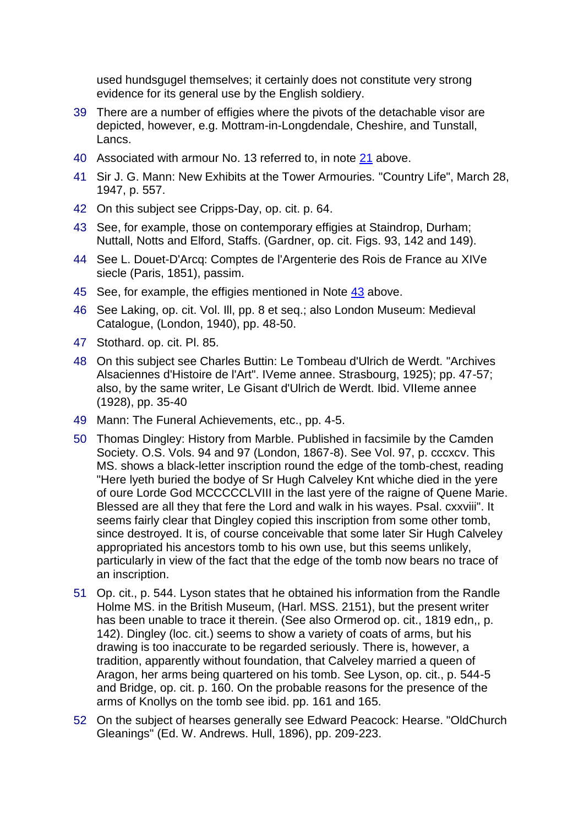used hundsgugel themselves; it certainly does not constitute very strong evidence for its general use by the English soldiery.

- 39 There are a number of effigies where the pivots of the detachable visor are depicted, however, e.g. Mottram-in-Longdendale, Cheshire, and Tunstall, Lancs.
- 40 Associated with armour No. 13 referred to, in note [21](file:///C:/Users/matt/OneDrive/Documents/gemma/st%20boniface/Bunbury/papers/Sir_Hugh_paper.htm%23anchor31192) above.
- 41 Sir J. G. Mann: New Exhibits at the Tower Armouries. "Country Life", March 28, 1947, p. 557.
- 42 On this subject see Cripps-Day, op. cit. p. 64.
- 43 See, for example, those on contemporary effigies at Staindrop, Durham; Nuttall, Notts and Elford, Staffs. (Gardner, op. cit. Figs. 93, 142 and 149).
- 44 See L. Douet-D'Arcq: Comptes de l'Argenterie des Rois de France au XIVe siecle (Paris, 1851), passim.
- 45 See, for example, the effigies mentioned in Note [43](file:///C:/Users/matt/OneDrive/Documents/gemma/st%20boniface/Bunbury/papers/Sir_Hugh_paper.htm%23anchor98374) above.
- 46 See Laking, op. cit. Vol. Ill, pp. 8 et seq.; also London Museum: Medieval Catalogue, (London, 1940), pp. 48-50.
- 47 Stothard. op. cit. Pl. 85.
- 48 On this subject see Charles Buttin: Le Tombeau d'Ulrich de Werdt. "Archives Alsaciennes d'Histoire de l'Art". IVeme annee. Strasbourg, 1925); pp. 47-57; also, by the same writer, Le Gisant d'Ulrich de Werdt. Ibid. VIIeme annee (1928), pp. 35-40
- 49 Mann: The Funeral Achievements, etc., pp. 4-5.
- 50 Thomas Dingley: History from Marble. Published in facsimile by the Camden Society. O.S. Vols. 94 and 97 (London, 1867-8). See Vol. 97, p. cccxcv. This MS. shows a black-letter inscription round the edge of the tomb-chest, reading "Here lyeth buried the bodye of Sr Hugh Calveley Knt whiche died in the yere of oure Lorde God MCCCCCLVIII in the last yere of the raigne of Quene Marie. Blessed are all they that fere the Lord and walk in his wayes. Psal. cxxviii". It seems fairly clear that Dingley copied this inscription from some other tomb, since destroyed. It is, of course conceivable that some later Sir Hugh Calveley appropriated his ancestors tomb to his own use, but this seems unlikely, particularly in view of the fact that the edge of the tomb now bears no trace of an inscription.
- 51 Op. cit., p. 544. Lyson states that he obtained his information from the Randle Holme MS. in the British Museum, (Harl. MSS. 2151), but the present writer has been unable to trace it therein. (See also Ormerod op. cit., 1819 edn,, p. 142). Dingley (loc. cit.) seems to show a variety of coats of arms, but his drawing is too inaccurate to be regarded seriously. There is, however, a tradition, apparently without foundation, that Calveley married a queen of Aragon, her arms being quartered on his tomb. See Lyson, op. cit., p. 544-5 and Bridge, op. cit. p. 160. On the probable reasons for the presence of the arms of Knollys on the tomb see ibid. pp. 161 and 165.
- 52 On the subject of hearses generally see Edward Peacock: Hearse. "OldChurch Gleanings" (Ed. W. Andrews. Hull, 1896), pp. 209-223.